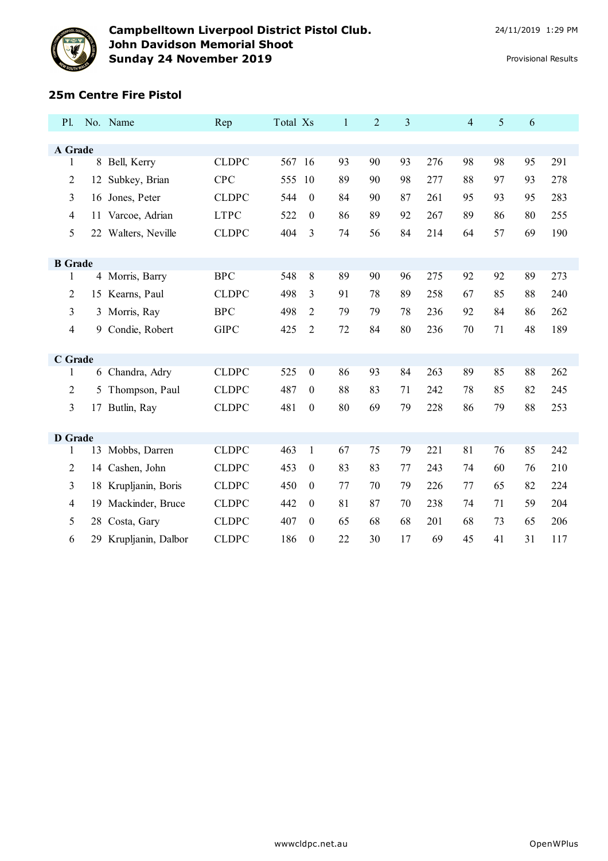

## **25m Centre Fire Pistol**

| P1.            |    | No. Name             | Rep          | Total Xs |                  | $\mathbf{1}$ | $\overline{2}$ | 3  |     | $\overline{4}$ | 5  | 6  |     |  |
|----------------|----|----------------------|--------------|----------|------------------|--------------|----------------|----|-----|----------------|----|----|-----|--|
| A Grade        |    |                      |              |          |                  |              |                |    |     |                |    |    |     |  |
|                |    |                      | <b>CLDPC</b> | 567 16   |                  | 93           | 90             | 93 | 276 | 98             | 98 | 95 | 291 |  |
| $\mathbf{1}$   | 8  | Bell, Kerry          |              |          |                  |              |                |    |     |                |    |    |     |  |
| $\overline{c}$ | 12 | Subkey, Brian        | <b>CPC</b>   | 555 10   |                  | 89           | 90             | 98 | 277 | 88             | 97 | 93 | 278 |  |
| 3              | 16 | Jones, Peter         | <b>CLDPC</b> | 544      | $\theta$         | 84           | 90             | 87 | 261 | 95             | 93 | 95 | 283 |  |
| $\overline{4}$ | 11 | Varcoe, Adrian       | <b>LTPC</b>  | 522      | $\boldsymbol{0}$ | 86           | 89             | 92 | 267 | 89             | 86 | 80 | 255 |  |
| 5              |    | 22 Walters, Neville  | <b>CLDPC</b> | 404      | 3                | 74           | 56             | 84 | 214 | 64             | 57 | 69 | 190 |  |
|                |    |                      |              |          |                  |              |                |    |     |                |    |    |     |  |
| <b>B</b> Grade |    |                      |              |          |                  |              |                |    |     |                |    |    |     |  |
| 1              |    | 4 Morris, Barry      | <b>BPC</b>   | 548      | 8                | 89           | 90             | 96 | 275 | 92             | 92 | 89 | 273 |  |
| 2              |    | 15 Kearns, Paul      | <b>CLDPC</b> | 498      | 3                | 91           | 78             | 89 | 258 | 67             | 85 | 88 | 240 |  |
| 3              |    | 3 Morris, Ray        | <b>BPC</b>   | 498      | 2                | 79           | 79             | 78 | 236 | 92             | 84 | 86 | 262 |  |
| $\overline{4}$ | 9  | Condie, Robert       | <b>GIPC</b>  | 425      | 2                | 72           | 84             | 80 | 236 | 70             | 71 | 48 | 189 |  |
|                |    |                      |              |          |                  |              |                |    |     |                |    |    |     |  |
| C Grade        |    |                      |              |          |                  |              |                |    |     |                |    |    |     |  |
| 1              |    | 6 Chandra, Adry      | <b>CLDPC</b> | 525      | $\boldsymbol{0}$ | 86           | 93             | 84 | 263 | 89             | 85 | 88 | 262 |  |
| 2              | 5  | Thompson, Paul       | <b>CLDPC</b> | 487      | $\theta$         | 88           | 83             | 71 | 242 | 78             | 85 | 82 | 245 |  |
| 3              | 17 | Butlin, Ray          | <b>CLDPC</b> | 481      | $\boldsymbol{0}$ | 80           | 69             | 79 | 228 | 86             | 79 | 88 | 253 |  |
|                |    |                      |              |          |                  |              |                |    |     |                |    |    |     |  |
| <b>D</b> Grade |    |                      |              |          |                  |              |                |    |     |                |    |    |     |  |
| 1              |    | 13 Mobbs, Darren     | <b>CLDPC</b> | 463      | $\mathbf{1}$     | 67           | 75             | 79 | 221 | 81             | 76 | 85 | 242 |  |
| $\overline{2}$ |    | 14 Cashen, John      | <b>CLDPC</b> | 453      | $\boldsymbol{0}$ | 83           | 83             | 77 | 243 | 74             | 60 | 76 | 210 |  |
| 3              |    | 18 Krupljanin, Boris | <b>CLDPC</b> | 450      | $\theta$         | 77           | 70             | 79 | 226 | 77             | 65 | 82 | 224 |  |
| $\overline{4}$ | 19 | Mackinder, Bruce     | <b>CLDPC</b> | 442      | $\boldsymbol{0}$ | 81           | 87             | 70 | 238 | 74             | 71 | 59 | 204 |  |
| 5              | 28 | Costa, Gary          | <b>CLDPC</b> | 407      | $\theta$         | 65           | 68             | 68 | 201 | 68             | 73 | 65 | 206 |  |
| 6              | 29 | Krupljanin, Dalbor   | <b>CLDPC</b> | 186      | $\theta$         | 22           | 30             | 17 | 69  | 45             | 41 | 31 | 117 |  |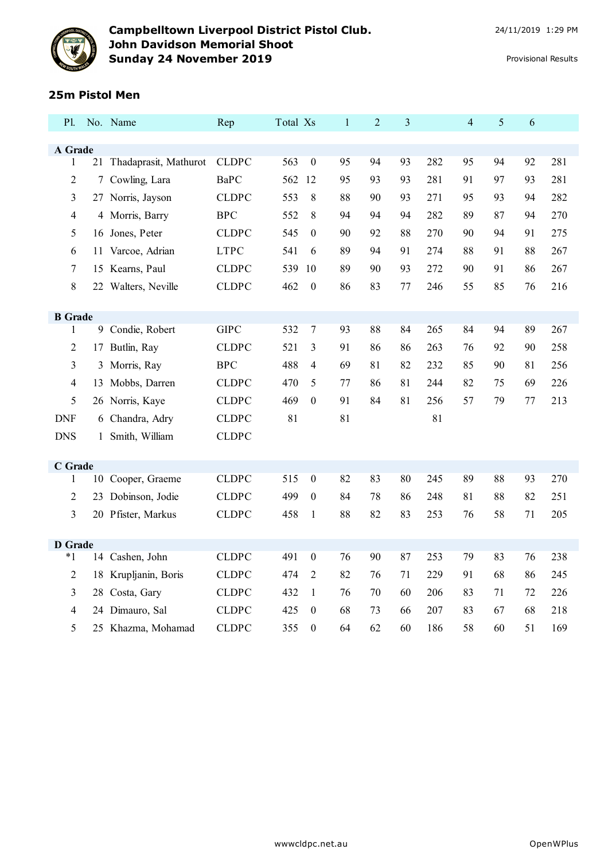

## **25m Pistol Men**

| <b>P</b> l.              |    | No. Name                 | Rep          | Total Xs |                  | $\mathbf{1}$ | $\overline{2}$ | 3  |     | $\overline{4}$ | 5  | 6  |     |
|--------------------------|----|--------------------------|--------------|----------|------------------|--------------|----------------|----|-----|----------------|----|----|-----|
|                          |    |                          |              |          |                  |              |                |    |     |                |    |    |     |
| A Grade<br>1             |    | 21 Thadaprasit, Mathurot | <b>CLDPC</b> | 563      | $\boldsymbol{0}$ | 95           | 94             | 93 | 282 | 95             | 94 | 92 | 281 |
| $\overline{c}$           | 7  | Cowling, Lara            | <b>BaPC</b>  | 562      | 12               | 95           | 93             | 93 | 281 | 91             | 97 | 93 | 281 |
|                          |    |                          | <b>CLDPC</b> | 553      | 8                | 88           |                |    | 271 | 95             | 93 | 94 | 282 |
| 3                        |    | 27 Norris, Jayson        |              |          |                  |              | 90             | 93 |     |                |    |    |     |
| $\overline{\mathcal{L}}$ |    | 4 Morris, Barry          | <b>BPC</b>   | 552      | 8                | 94           | 94             | 94 | 282 | 89             | 87 | 94 | 270 |
| 5                        |    | 16 Jones, Peter          | <b>CLDPC</b> | 545      | $\theta$         | 90           | 92             | 88 | 270 | 90             | 94 | 91 | 275 |
| 6                        |    | 11 Varcoe, Adrian        | <b>LTPC</b>  | 541      | 6                | 89           | 94             | 91 | 274 | 88             | 91 | 88 | 267 |
| 7                        |    | 15 Kearns, Paul          | <b>CLDPC</b> | 539      | 10               | 89           | 90             | 93 | 272 | 90             | 91 | 86 | 267 |
| 8                        |    | 22 Walters, Neville      | <b>CLDPC</b> | 462      | $\boldsymbol{0}$ | 86           | 83             | 77 | 246 | 55             | 85 | 76 | 216 |
|                          |    |                          |              |          |                  |              |                |    |     |                |    |    |     |
| <b>B</b> Grade<br>1      |    | 9 Condie, Robert         | <b>GIPC</b>  | 532      | $\overline{7}$   | 93           | 88             | 84 | 265 | 84             | 94 | 89 | 267 |
| $\overline{c}$           | 17 | Butlin, Ray              | <b>CLDPC</b> | 521      | 3                | 91           | 86             | 86 | 263 | 76             | 92 | 90 | 258 |
|                          |    |                          |              |          |                  |              |                |    |     |                |    |    |     |
| 3                        |    | 3 Morris, Ray            | <b>BPC</b>   | 488      | 4                | 69           | 81             | 82 | 232 | 85             | 90 | 81 | 256 |
| 4                        | 13 | Mobbs, Darren            | <b>CLDPC</b> | 470      | 5                | 77           | 86             | 81 | 244 | 82             | 75 | 69 | 226 |
| 5                        |    | 26 Norris, Kaye          | <b>CLDPC</b> | 469      | $\boldsymbol{0}$ | 91           | 84             | 81 | 256 | 57             | 79 | 77 | 213 |
| <b>DNF</b>               |    | 6 Chandra, Adry          | <b>CLDPC</b> | 81       |                  | 81           |                |    | 81  |                |    |    |     |
| <b>DNS</b>               |    | 1 Smith, William         | <b>CLDPC</b> |          |                  |              |                |    |     |                |    |    |     |
|                          |    |                          |              |          |                  |              |                |    |     |                |    |    |     |
| C Grade<br>$\mathbf{1}$  |    | 10 Cooper, Graeme        | <b>CLDPC</b> | 515      | $\boldsymbol{0}$ | 82           | 83             | 80 | 245 | 89             | 88 | 93 | 270 |
| $\overline{c}$           |    | 23 Dobinson, Jodie       | <b>CLDPC</b> | 499      | $\theta$         | 84           | 78             | 86 | 248 | 81             | 88 | 82 | 251 |
| 3                        |    |                          | <b>CLDPC</b> | 458      |                  | 88           | 82             | 83 | 253 | 76             | 58 | 71 | 205 |
|                          |    | 20 Pfister, Markus       |              |          | $\mathbf{1}$     |              |                |    |     |                |    |    |     |
| <b>D</b> Grade           |    |                          |              |          |                  |              |                |    |     |                |    |    |     |
| $*1$                     |    | 14 Cashen, John          | <b>CLDPC</b> | 491      | $\boldsymbol{0}$ | 76           | 90             | 87 | 253 | 79             | 83 | 76 | 238 |
| $\overline{c}$           |    | 18 Krupljanin, Boris     | <b>CLDPC</b> | 474      | $\overline{2}$   | 82           | 76             | 71 | 229 | 91             | 68 | 86 | 245 |
| 3                        |    | 28 Costa, Gary           | <b>CLDPC</b> | 432      | $\mathbf{1}$     | 76           | 70             | 60 | 206 | 83             | 71 | 72 | 226 |
| 4                        |    | 24 Dimauro, Sal          | <b>CLDPC</b> | 425      | $\boldsymbol{0}$ | 68           | 73             | 66 | 207 | 83             | 67 | 68 | 218 |
| 5                        |    | 25 Khazma, Mohamad       | <b>CLDPC</b> | 355      | $\boldsymbol{0}$ | 64           | 62             | 60 | 186 | 58             | 60 | 51 | 169 |